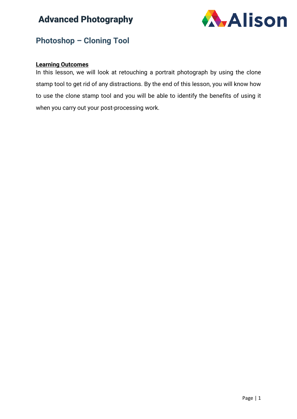

#### **Photoshop – Cloning Tool**

#### **Learning Outcomes**

In this lesson, we will look at retouching a portrait photograph by using the clone stamp tool to get rid of any distractions. By the end of this lesson, you will know how to use the clone stamp tool and you will be able to identify the benefits of using it when you carry out your post-processing work.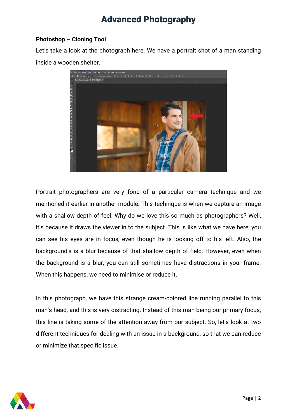#### **Photoshop – Cloning Tool**

Let's take a look at the photograph here. We have a portrait shot of a man standing inside a wooden shelter.



Portrait photographers are very fond of a particular camera technique and we mentioned it earlier in another module. This technique is when we capture an image with a shallow depth of feel. Why do we love this so much as photographers? Well, it's because it draws the viewer in to the subject. This is like what we have here; you can see his eyes are in focus, even though he is looking off to his left. Also, the background's is a blur because of that shallow depth of field. However, even when the background is a blur, you can still sometimes have distractions in your frame. When this happens, we need to minimise or reduce it.

In this photograph, we have this strange cream-colored line running parallel to this man's head, and this is very distracting. Instead of this man being our primary focus, this line is taking some of the attention away from our subject. So, let's look at two different techniques for dealing with an issue in a background, so that we can reduce or minimize that specific issue.

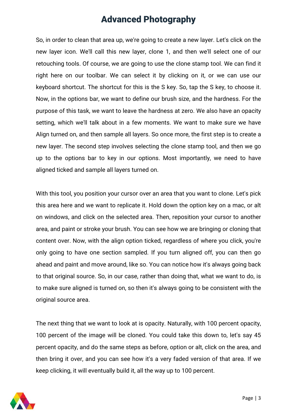So, in order to clean that area up, we're going to create a new layer. Let's click on the new layer icon. We'll call this new layer, clone 1, and then we'll select one of our retouching tools. Of course, we are going to use the clone stamp tool. We can find it right here on our toolbar. We can select it by clicking on it, or we can use our keyboard shortcut. The shortcut for this is the S key. So, tap the S key, to choose it. Now, in the options bar, we want to define our brush size, and the hardness. For the purpose of this task, we want to leave the hardness at zero. We also have an opacity setting, which we'll talk about in a few moments. We want to make sure we have Align turned on, and then sample all layers. So once more, the first step is to create a new layer. The second step involves selecting the clone stamp tool, and then we go up to the options bar to key in our options. Most importantly, we need to have aligned ticked and sample all layers turned on.

With this tool, you position your cursor over an area that you want to clone. Let's pick this area here and we want to replicate it. Hold down the option key on a mac, or alt on windows, and click on the selected area. Then, reposition your cursor to another area, and paint or stroke your brush. You can see how we are bringing or cloning that content over. Now, with the align option ticked, regardless of where you click, you're only going to have one section sampled. If you turn aligned off, you can then go ahead and paint and move around, like so. You can notice how it's always going back to that original source. So, in our case, rather than doing that, what we want to do, is to make sure aligned is turned on, so then it's always going to be consistent with the original source area.

The next thing that we want to look at is opacity. Naturally, with 100 percent opacity, 100 percent of the image will be cloned. You could take this down to, let's say 45 percent opacity, and do the same steps as before, option or alt, click on the area, and then bring it over, and you can see how it's a very faded version of that area. If we keep clicking, it will eventually build it, all the way up to 100 percent.

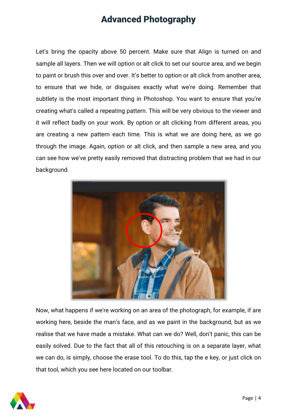Let's bring the opacity above 50 percent. Make sure that Align is turned on and sample all layers. Then we will option or alt click to set our source area, and we begin to paint or brush this over and over. It's better to option or alt click from another area, to ensure that we hide, or disguises exactly what we're doing. Remember that subtlety is the most important thing in Photoshop. You want to ensure that you're creating what's called a repeating pattern. This will be very obvious to the viewer and it will reflect badly on your work. By option or alt clicking from different areas, you are creating a new pattern each time. This is what we are doing here, as we go through the image. Again, option or alt click, and then sample a new area, and you can see how we've pretty easily removed that distracting problem that we had in our background.



Now, what happens if we're working on an area of the photograph, for example, if are working here, beside the man's face, and as we paint in the background, but as we realise that we have made a mistake. What can we do? Well, don't panic, this can be easily solved. Due to the fact that all of this retouching is on a separate layer, what we can do, is simply, choose the erase tool. To do this, tap the e key, or just click on that tool, which you see here located on our toolbar.

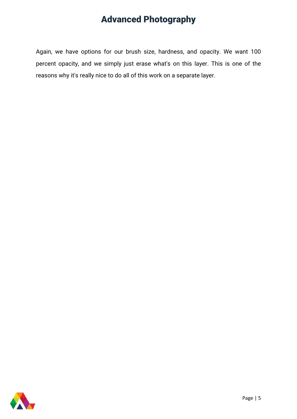Again, we have options for our brush size, hardness, and opacity. We want 100 percent opacity, and we simply just erase what's on this layer. This is one of the reasons why it's really nice to do all of this work on a separate layer.